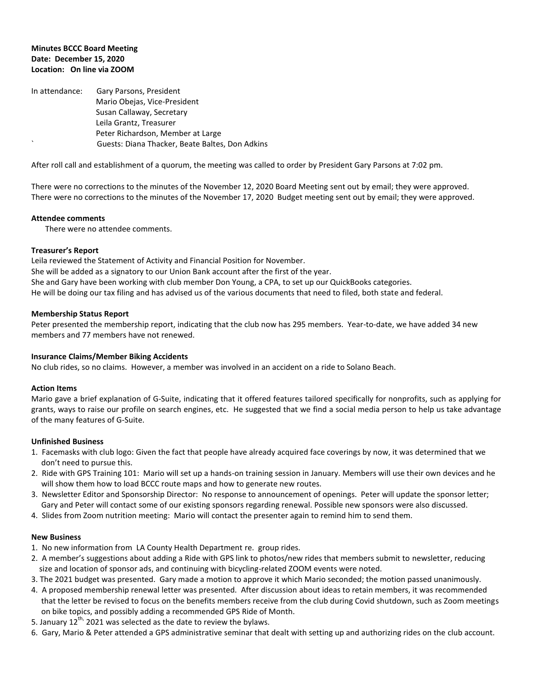# **Minutes BCCC Board Meeting Date: December 15, 2020 Location: On line via ZOOM**

In attendance: Gary Parsons, President Mario Obejas, Vice-President Susan Callaway, Secretary Leila Grantz, Treasurer Peter Richardson, Member at Large ` Guests: Diana Thacker, Beate Baltes, Don Adkins

After roll call and establishment of a quorum, the meeting was called to order by President Gary Parsons at 7:02 pm.

There were no corrections to the minutes of the November 12, 2020 Board Meeting sent out by email; they were approved. There were no corrections to the minutes of the November 17, 2020 Budget meeting sent out by email; they were approved.

### **Attendee comments**

There were no attendee comments.

### **Treasurer's Report**

Leila reviewed the Statement of Activity and Financial Position for November. She will be added as a signatory to our Union Bank account after the first of the year. She and Gary have been working with club member Don Young, a CPA, to set up our QuickBooks categories. He will be doing our tax filing and has advised us of the various documents that need to filed, both state and federal.

### **Membership Status Report**

Peter presented the membership report, indicating that the club now has 295 members. Year-to-date, we have added 34 new members and 77 members have not renewed.

### **Insurance Claims/Member Biking Accidents**

No club rides, so no claims. However, a member was involved in an accident on a ride to Solano Beach.

### **Action Items**

Mario gave a brief explanation of G-Suite, indicating that it offered features tailored specifically for nonprofits, such as applying for grants, ways to raise our profile on search engines, etc. He suggested that we find a social media person to help us take advantage of the many features of G-Suite.

### **Unfinished Business**

- 1. Facemasks with club logo: Given the fact that people have already acquired face coverings by now, it was determined that we don't need to pursue this.
- 2. Ride with GPS Training 101: Mario will set up a hands-on training session in January. Members will use their own devices and he will show them how to load BCCC route maps and how to generate new routes.
- 3. Newsletter Editor and Sponsorship Director: No response to announcement of openings. Peter will update the sponsor letter; Gary and Peter will contact some of our existing sponsors regarding renewal. Possible new sponsors were also discussed.
- 4. Slides from Zoom nutrition meeting: Mario will contact the presenter again to remind him to send them.

### **New Business**

- 1. No new information from LA County Health Department re. group rides.
- 2. A member's suggestions about adding a Ride with GPS link to photos/new rides that members submit to newsletter, reducing size and location of sponsor ads, and continuing with bicycling-related ZOOM events were noted.
- 3. The 2021 budget was presented. Gary made a motion to approve it which Mario seconded; the motion passed unanimously.
- 4. A proposed membership renewal letter was presented. After discussion about ideas to retain members, it was recommended that the letter be revised to focus on the benefits members receive from the club during Covid shutdown, such as Zoom meetings on bike topics, and possibly adding a recommended GPS Ride of Month.
- 5. January 12<sup>th,</sup> 2021 was selected as the date to review the bylaws.
- 6. Gary, Mario & Peter attended a GPS administrative seminar that dealt with setting up and authorizing rides on the club account.